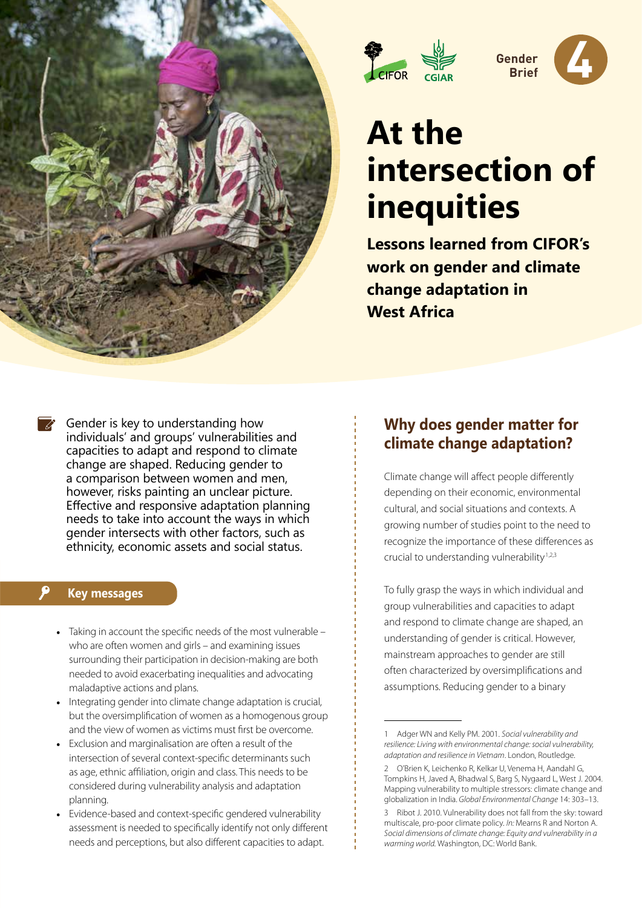



**4 Gender Brief** 

# **At the intersection of inequities**

**Lessons learned from CIFOR's work on gender and climate change adaptation in West Africa**

Gender is key to understanding how individuals' and groups' vulnerabilities and capacities to adapt and respond to climate change are shaped. Reducing gender to a comparison between women and men, however, risks painting an unclear picture. Effective and responsive adaptation planning needs to take into account the ways in which gender intersects with other factors, such as ethnicity, economic assets and social status.

#### **Key messages**

- Taking in account the specific needs of the most vulnerable who are often women and girls – and examining issues surrounding their participation in decision-making are both needed to avoid exacerbating inequalities and advocating maladaptive actions and plans.
- Integrating gender into climate change adaptation is crucial, but the oversimplification of women as a homogenous group and the view of women as victims must first be overcome.
- Exclusion and marginalisation are often a result of the intersection of several context-specific determinants such as age, ethnic affiliation, origin and class. This needs to be considered during vulnerability analysis and adaptation planning.
- Evidence-based and context-specific gendered vulnerability assessment is needed to specifically identify not only different needs and perceptions, but also different capacities to adapt.

# **Why does gender matter for climate change adaptation?**

Climate change will affect people differently depending on their economic, environmental cultural, and social situations and contexts. A growing number of studies point to the need to recognize the importance of these differences as crucial to understanding vulnerability<sup>1,2,3</sup>

To fully grasp the ways in which individual and group vulnerabilities and capacities to adapt and respond to climate change are shaped, an understanding of gender is critical. However, mainstream approaches to gender are still often characterized by oversimplifications and assumptions. Reducing gender to a binary

<sup>1</sup> Adger WN and Kelly PM. 2001. *Social vulnerability and resilience: Living with environmental change: social vulnerability, adaptation and resilience in Vietnam*. London, Routledge.

<sup>2</sup> O'Brien K, Leichenko R, Kelkar U, Venema H, Aandahl G, Tompkins H, Javed A, Bhadwal S, Barg S, Nygaard L, West J. 2004. Mapping vulnerability to multiple stressors: climate change and globalization in India. *Global Environmental Change* 14: 303–13.

<sup>3</sup> Ribot J. 2010. Vulnerability does not fall from the sky: toward multiscale, pro-poor climate policy. *In:* Mearns R and Norton A. *Social dimensions of climate change: Equity and vulnerability in a warming world.* Washington, DC: World Bank.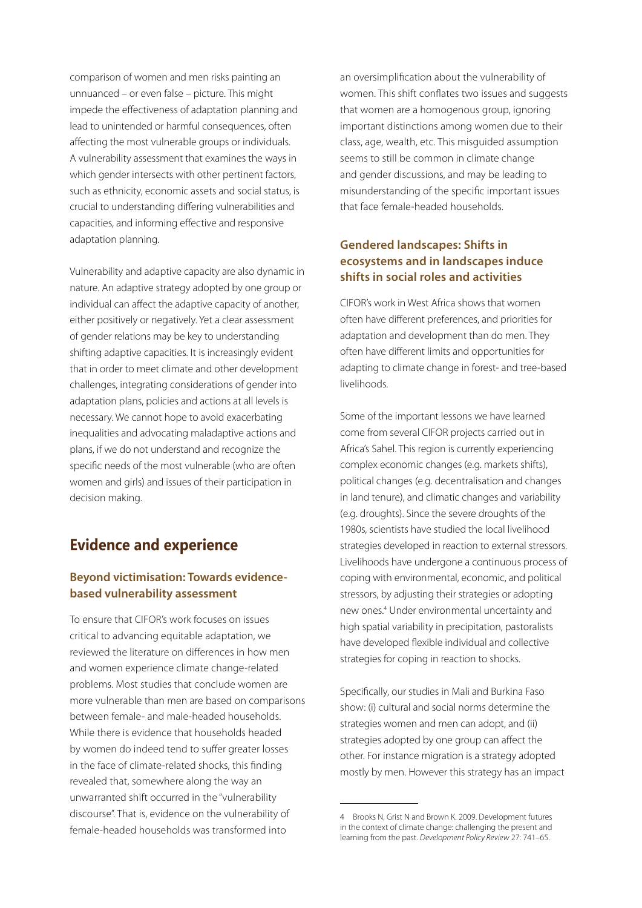comparison of women and men risks painting an unnuanced – or even false – picture. This might impede the effectiveness of adaptation planning and lead to unintended or harmful consequences, often affecting the most vulnerable groups or individuals. A vulnerability assessment that examines the ways in which gender intersects with other pertinent factors, such as ethnicity, economic assets and social status, is crucial to understanding differing vulnerabilities and capacities, and informing effective and responsive adaptation planning.

Vulnerability and adaptive capacity are also dynamic in nature. An adaptive strategy adopted by one group or individual can affect the adaptive capacity of another, either positively or negatively. Yet a clear assessment of gender relations may be key to understanding shifting adaptive capacities. It is increasingly evident that in order to meet climate and other development challenges, integrating considerations of gender into adaptation plans, policies and actions at all levels is necessary. We cannot hope to avoid exacerbating inequalities and advocating maladaptive actions and plans, if we do not understand and recognize the specific needs of the most vulnerable (who are often women and girls) and issues of their participation in decision making.

# **Evidence and experience**

## **Beyond victimisation: Towards evidencebased vulnerability assessment**

To ensure that CIFOR's work focuses on issues critical to advancing equitable adaptation, we reviewed the literature on differences in how men and women experience climate change-related problems. Most studies that conclude women are more vulnerable than men are based on comparisons between female- and male-headed households. While there is evidence that households headed by women do indeed tend to suffer greater losses in the face of climate-related shocks, this finding revealed that, somewhere along the way an unwarranted shift occurred in the "vulnerability discourse". That is, evidence on the vulnerability of female-headed households was transformed into

an oversimplification about the vulnerability of women. This shift conflates two issues and suggests that women are a homogenous group, ignoring important distinctions among women due to their class, age, wealth, etc. This misguided assumption seems to still be common in climate change and gender discussions, and may be leading to misunderstanding of the specific important issues that face female-headed households.

## **Gendered landscapes: Shifts in ecosystems and in landscapes induce shifts in social roles and activities**

CIFOR's work in West Africa shows that women often have different preferences, and priorities for adaptation and development than do men. They often have different limits and opportunities for adapting to climate change in forest- and tree-based livelihoods.

Some of the important lessons we have learned come from several CIFOR projects carried out in Africa's Sahel. This region is currently experiencing complex economic changes (e.g. markets shifts), political changes (e.g. decentralisation and changes in land tenure), and climatic changes and variability (e.g. droughts). Since the severe droughts of the 1980s, scientists have studied the local livelihood strategies developed in reaction to external stressors. Livelihoods have undergone a continuous process of coping with environmental, economic, and political stressors, by adjusting their strategies or adopting new ones.4 Under environmental uncertainty and high spatial variability in precipitation, pastoralists have developed flexible individual and collective strategies for coping in reaction to shocks.

Specifically, our studies in Mali and Burkina Faso show: (i) cultural and social norms determine the strategies women and men can adopt, and (ii) strategies adopted by one group can affect the other. For instance migration is a strategy adopted mostly by men. However this strategy has an impact

<sup>4</sup> Brooks N, Grist N and Brown K. 2009. Development futures in the context of climate change: challenging the present and learning from the past. *Development Policy Review* 27: 741–65.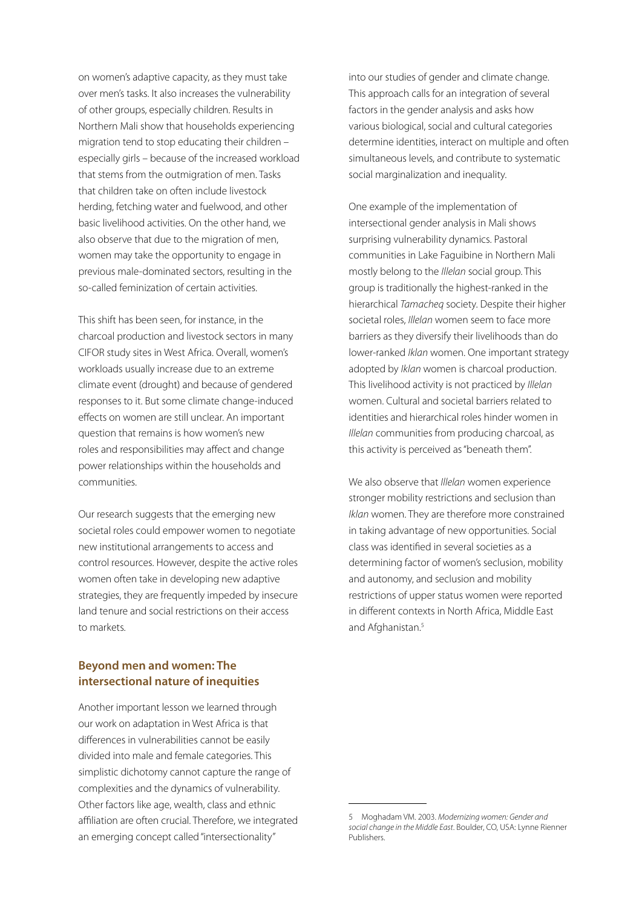on women's adaptive capacity, as they must take over men's tasks. It also increases the vulnerability of other groups, especially children. Results in Northern Mali show that households experiencing migration tend to stop educating their children – especially girls – because of the increased workload that stems from the outmigration of men. Tasks that children take on often include livestock herding, fetching water and fuelwood, and other basic livelihood activities. On the other hand, we also observe that due to the migration of men, women may take the opportunity to engage in previous male-dominated sectors, resulting in the so-called feminization of certain activities.

This shift has been seen, for instance, in the charcoal production and livestock sectors in many CIFOR study sites in West Africa. Overall, women's workloads usually increase due to an extreme climate event (drought) and because of gendered responses to it. But some climate change-induced effects on women are still unclear. An important question that remains is how women's new roles and responsibilities may affect and change power relationships within the households and communities.

Our research suggests that the emerging new societal roles could empower women to negotiate new institutional arrangements to access and control resources. However, despite the active roles women often take in developing new adaptive strategies, they are frequently impeded by insecure land tenure and social restrictions on their access to markets.

## **Beyond men and women: The intersectional nature of inequities**

Another important lesson we learned through our work on adaptation in West Africa is that differences in vulnerabilities cannot be easily divided into male and female categories. This simplistic dichotomy cannot capture the range of complexities and the dynamics of vulnerability. Other factors like age, wealth, class and ethnic affiliation are often crucial. Therefore, we integrated an emerging concept called "intersectionality"

into our studies of gender and climate change. This approach calls for an integration of several factors in the gender analysis and asks how various biological, social and cultural categories determine identities, interact on multiple and often simultaneous levels, and contribute to systematic social marginalization and inequality.

One example of the implementation of intersectional gender analysis in Mali shows surprising vulnerability dynamics. Pastoral communities in Lake Faguibine in Northern Mali mostly belong to the *Illelan* social group. This group is traditionally the highest-ranked in the hierarchical *Tamacheq* society. Despite their higher societal roles, *Illelan* women seem to face more barriers as they diversify their livelihoods than do lower-ranked *Iklan* women. One important strategy adopted by *Iklan* women is charcoal production. This livelihood activity is not practiced by *Illelan* women. Cultural and societal barriers related to identities and hierarchical roles hinder women in *Illelan* communities from producing charcoal, as this activity is perceived as "beneath them".

We also observe that *Illelan* women experience stronger mobility restrictions and seclusion than *Iklan* women. They are therefore more constrained in taking advantage of new opportunities. Social class was identified in several societies as a determining factor of women's seclusion, mobility and autonomy, and seclusion and mobility restrictions of upper status women were reported in different contexts in North Africa, Middle East and Afghanistan.<sup>5</sup>

<sup>5</sup> Moghadam VM. 2003. *Modernizing women: Gender and social change in the Middle East*. Boulder, CO, USA: Lynne Rienner Publishers.